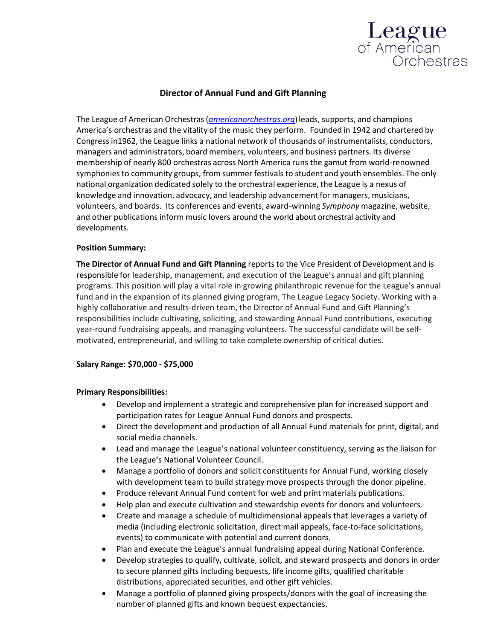

# **Director of Annual Fund and Gift Planning**

The League of American Orchestras(*[americanorchestras.org](http://www.americanorchestras.org/)*)leads, supports, and champions America's orchestras and the vitality of the music they perform. Founded in 1942 and chartered by Congressin1962, the League links a national network of thousands of instrumentalists, conductors, managers and administrators, board members, volunteers, and business partners. Its diverse membership of nearly 800 orchestras across North America runs the gamut from world-renowned symphonies to community groups, from summer festivals to student and youth ensembles. The only national organization dedicated solely to the orchestral experience, the League is a nexus of knowledge and innovation, advocacy, and leadership advancement for managers, musicians, volunteers, and boards. Its conferences and events, award-winning *Symphony* magazine, website, and other publications inform music lovers around the world about orchestral activity and developments.

#### **Position Summary:**

**The Director of Annual Fund and Gift Planning** reports to the Vice President of Development and is responsible for leadership, management, and execution of the League's annual and gift planning programs. This position will play a vital role in growing philanthropic revenue for the League's annual fund and in the expansion of its planned giving program, The League Legacy Society. Working with a highly collaborative and results-driven team, the Director of Annual Fund and Gift Planning's responsibilities include cultivating, soliciting, and stewarding Annual Fund contributions, executing year-round fundraising appeals, and managing volunteers. The successful candidate will be selfmotivated, entrepreneurial, and willing to take complete ownership of critical duties.

## **Salary Range: \$70,000 - \$75,000**

## **Primary Responsibilities:**

- Develop and implement a strategic and comprehensive plan for increased support and participation rates for League Annual Fund donors and prospects.
- Direct the development and production of all Annual Fund materials for print, digital, and social media channels.
- Lead and manage the League's national volunteer constituency, serving as the liaison for the League's National Volunteer Council.
- Manage a portfolio of donors and solicit constituents for Annual Fund, working closely with development team to build strategy move prospects through the donor pipeline.
- Produce relevant Annual Fund content for web and print materials publications.
- Help plan and execute cultivation and stewardship events for donors and volunteers.
- Create and manage a schedule of multidimensional appeals that leverages a variety of media (including electronic solicitation, direct mail appeals, face-to-face solicitations, events) to communicate with potential and current donors.
- Plan and execute the League's annual fundraising appeal during National Conference.
- Develop strategies to qualify, cultivate, solicit, and steward prospects and donors in order to secure planned gifts including bequests, life income gifts, qualified charitable distributions, appreciated securities, and other gift vehicles.
- Manage a portfolio of planned giving prospects/donors with the goal of increasing the number of planned gifts and known bequest expectancies.